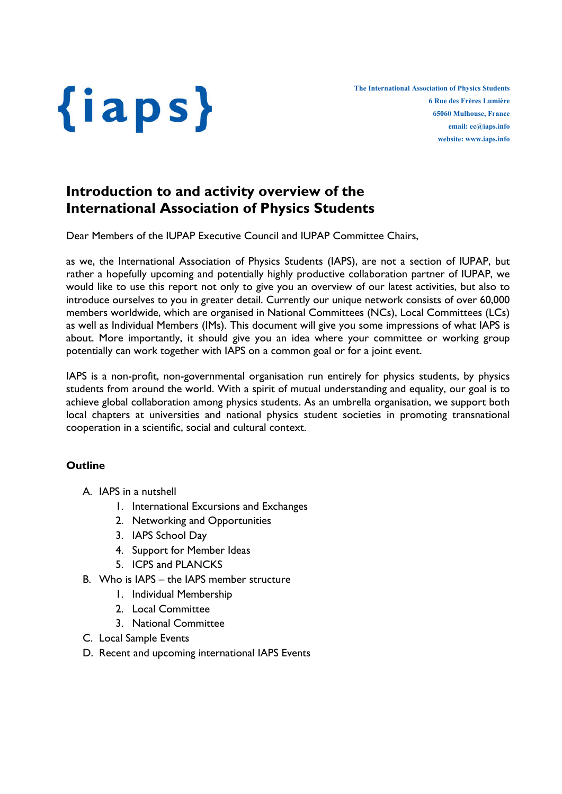

## Introduction to and activity overview of the International Association of Physics Students

Dear Members of the IUPAP Executive Council and IUPAP Committee Chairs,

as we, the International Association of Physics Students (IAPS), are not a section of IUPAP, but rather a hopefully upcoming and potentially highly productive collaboration partner of IUPAP, we would like to use this report not only to give you an overview of our latest activities, but also to introduce ourselves to you in greater detail. Currently our unique network consists of over 60,000 members worldwide, which are organised in National Committees (NCs), Local Committees (LCs) as well as Individual Members (IMs). This document will give you some impressions of what IAPS is about. More importantly, it should give you an idea where your committee or working group potentially can work together with IAPS on a common goal or for a joint event.

IAPS is a non-profit, non-governmental organisation run entirely for physics students, by physics students from around the world. With a spirit of mutual understanding and equality, our goal is to achieve global collaboration among physics students. As an umbrella organisation, we support both local chapters at universities and national physics student societies in promoting transnational cooperation in a scientific, social and cultural context.

## **Outline**

- A. IAPS in a nutshell
	- 1. International Excursions and Exchanges
	- 2. Networking and Opportunities
	- 3. IAPS School Day
	- 4. Support for Member Ideas
	- 5. ICPS and PLANCKS
- B. Who is IAPS the IAPS member structure
	- 1. Individual Membership
	- 2. Local Committee
	- 3. National Committee
- C. Local Sample Events
- D. Recent and upcoming international IAPS Events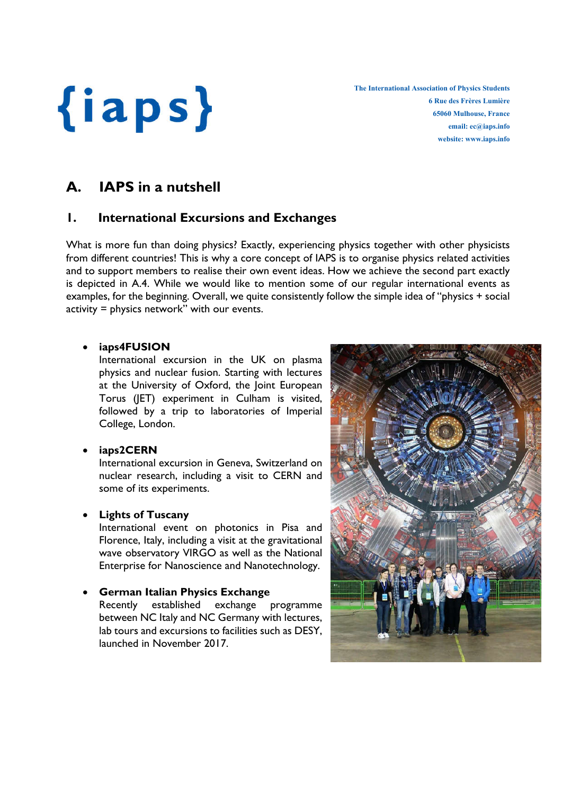The International Association of Physics Students 6 Rue des Frères Lumière 65060 Mulhouse, France email: ec@iaps.info website: www.iaps.info

## A. IAPS in a nutshell

## 1. International Excursions and Exchanges

What is more fun than doing physics? Exactly, experiencing physics together with other physicists from different countries! This is why a core concept of IAPS is to organise physics related activities and to support members to realise their own event ideas. How we achieve the second part exactly is depicted in A.4. While we would like to mention some of our regular international events as examples, for the beginning. Overall, we quite consistently follow the simple idea of "physics + social activity = physics network" with our events.

## iaps4FUSION

International excursion in the UK on plasma physics and nuclear fusion. Starting with lectures at the University of Oxford, the Joint European Torus (JET) experiment in Culham is visited, followed by a trip to laboratories of Imperial College, London.

### iaps2CERN

International excursion in Geneva, Switzerland on nuclear research, including a visit to CERN and some of its experiments.

## Lights of Tuscany

International event on photonics in Pisa and Florence, Italy, including a visit at the gravitational wave observatory VIRGO as well as the National Enterprise for Nanoscience and Nanotechnology.

## German Italian Physics Exchange

Recently established exchange programme between NC Italy and NC Germany with lectures, lab tours and excursions to facilities such as DESY, launched in November 2017.

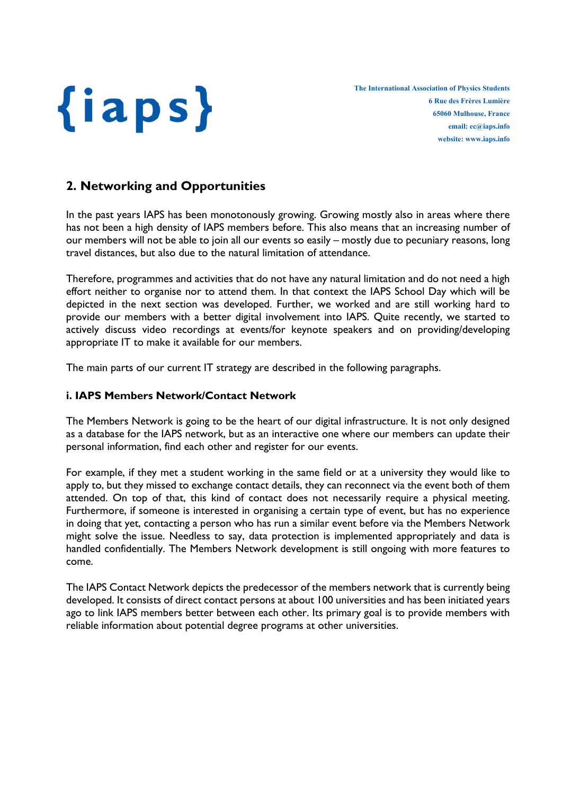

## 2. Networking and Opportunities

In the past years IAPS has been monotonously growing. Growing mostly also in areas where there has not been a high density of IAPS members before. This also means that an increasing number of our members will not be able to join all our events so easily – mostly due to pecuniary reasons, long travel distances, but also due to the natural limitation of attendance.

Therefore, programmes and activities that do not have any natural limitation and do not need a high effort neither to organise nor to attend them. In that context the IAPS School Day which will be depicted in the next section was developed. Further, we worked and are still working hard to provide our members with a better digital involvement into IAPS. Quite recently, we started to actively discuss video recordings at events/for keynote speakers and on providing/developing appropriate IT to make it available for our members.

The main parts of our current IT strategy are described in the following paragraphs.

### i. IAPS Members Network/Contact Network

The Members Network is going to be the heart of our digital infrastructure. It is not only designed as a database for the IAPS network, but as an interactive one where our members can update their personal information, find each other and register for our events.

For example, if they met a student working in the same field or at a university they would like to apply to, but they missed to exchange contact details, they can reconnect via the event both of them attended. On top of that, this kind of contact does not necessarily require a physical meeting. Furthermore, if someone is interested in organising a certain type of event, but has no experience in doing that yet, contacting a person who has run a similar event before via the Members Network might solve the issue. Needless to say, data protection is implemented appropriately and data is handled confidentially. The Members Network development is still ongoing with more features to come.

The IAPS Contact Network depicts the predecessor of the members network that is currently being developed. It consists of direct contact persons at about 100 universities and has been initiated years ago to link IAPS members better between each other. Its primary goal is to provide members with reliable information about potential degree programs at other universities.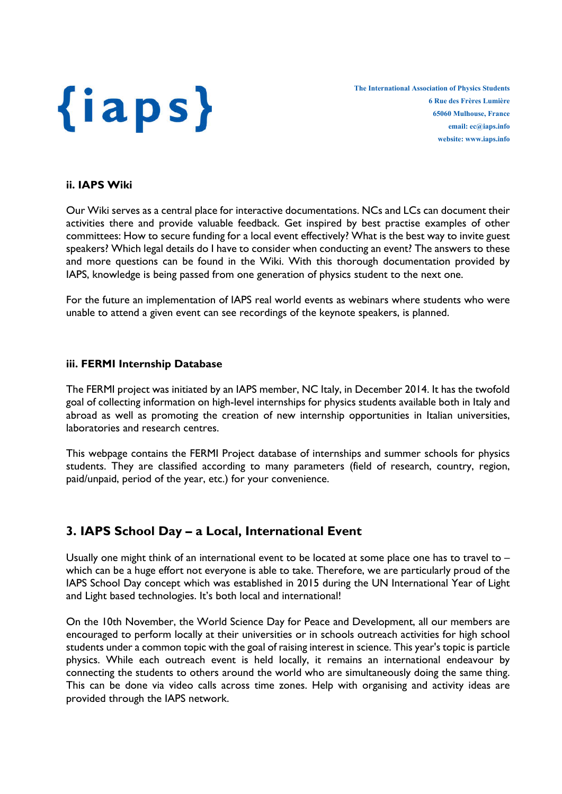

#### ii. IAPS Wiki

Our Wiki serves as a central place for interactive documentations. NCs and LCs can document their activities there and provide valuable feedback. Get inspired by best practise examples of other committees: How to secure funding for a local event effectively? What is the best way to invite guest speakers? Which legal details do I have to consider when conducting an event? The answers to these and more questions can be found in the Wiki. With this thorough documentation provided by IAPS, knowledge is being passed from one generation of physics student to the next one.

For the future an implementation of IAPS real world events as webinars where students who were unable to attend a given event can see recordings of the keynote speakers, is planned.

#### iii. FERMI Internship Database

The FERMI project was initiated by an IAPS member, NC Italy, in December 2014. It has the twofold goal of collecting information on high-level internships for physics students available both in Italy and abroad as well as promoting the creation of new internship opportunities in Italian universities, laboratories and research centres.

This webpage contains the FERMI Project database of internships and summer schools for physics students. They are classified according to many parameters (field of research, country, region, paid/unpaid, period of the year, etc.) for your convenience.

## 3. IAPS School Day – a Local, International Event

Usually one might think of an international event to be located at some place one has to travel to – which can be a huge effort not everyone is able to take. Therefore, we are particularly proud of the IAPS School Day concept which was established in 2015 during the UN International Year of Light and Light based technologies. It's both local and international!

On the 10th November, the World Science Day for Peace and Development, all our members are encouraged to perform locally at their universities or in schools outreach activities for high school students under a common topic with the goal of raising interest in science. This year's topic is particle physics. While each outreach event is held locally, it remains an international endeavour by connecting the students to others around the world who are simultaneously doing the same thing. This can be done via video calls across time zones. Help with organising and activity ideas are provided through the IAPS network.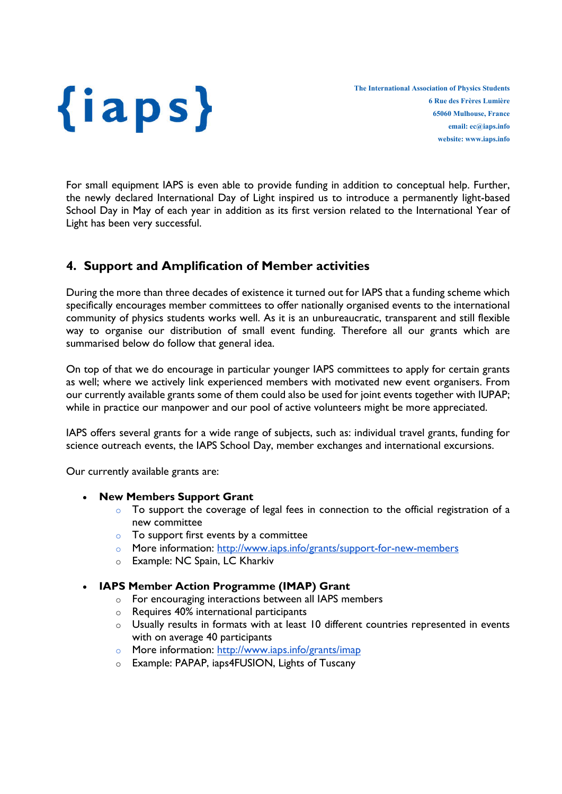

For small equipment IAPS is even able to provide funding in addition to conceptual help. Further, the newly declared International Day of Light inspired us to introduce a permanently light-based School Day in May of each year in addition as its first version related to the International Year of Light has been very successful.

## 4. Support and Amplification of Member activities

During the more than three decades of existence it turned out for IAPS that a funding scheme which specifically encourages member committees to offer nationally organised events to the international community of physics students works well. As it is an unbureaucratic, transparent and still flexible way to organise our distribution of small event funding. Therefore all our grants which are summarised below do follow that general idea.

On top of that we do encourage in particular younger IAPS committees to apply for certain grants as well; where we actively link experienced members with motivated new event organisers. From our currently available grants some of them could also be used for joint events together with IUPAP; while in practice our manpower and our pool of active volunteers might be more appreciated.

IAPS offers several grants for a wide range of subjects, such as: individual travel grants, funding for science outreach events, the IAPS School Day, member exchanges and international excursions.

Our currently available grants are:

### New Members Support Grant

- $\circ$  To support the coverage of legal fees in connection to the official registration of a new committee
- $\circ$  To support first events by a committee
- o More information: http://www.iaps.info/grants/support-for-new-members
- o Example: NC Spain, LC Kharkiv

### IAPS Member Action Programme (IMAP) Grant

- o For encouraging interactions between all IAPS members
- o Requires 40% international participants
- $\circ$  Usually results in formats with at least 10 different countries represented in events with on average 40 participants
- o More information: http://www.iaps.info/grants/imap
- o Example: PAPAP, iaps4FUSION, Lights of Tuscany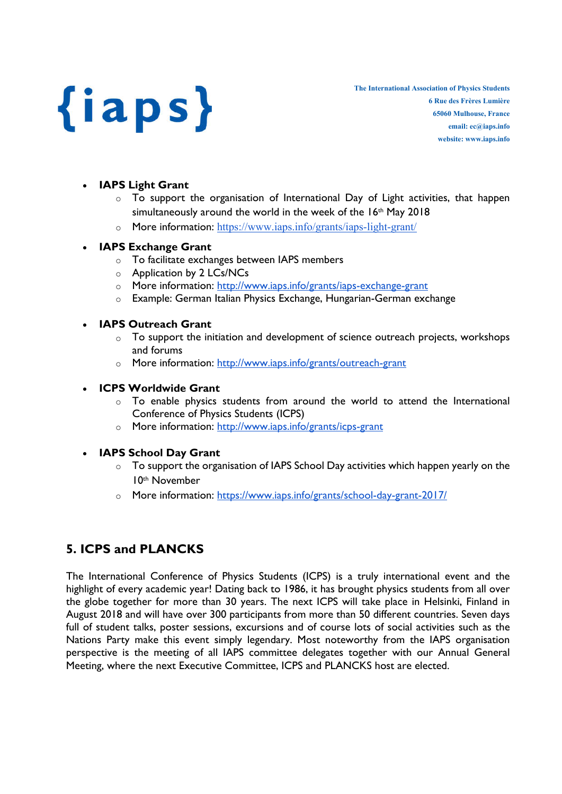The International Association of Physics Students 6 Rue des Frères Lumière 65060 Mulhouse, France email: ec@iaps.info website: www.iaps.info

## IAPS Light Grant

- $\circ$  To support the organisation of International Day of Light activities, that happen simultaneously around the world in the week of the 16<sup>th</sup> May 2018
- o More information: https://www.iaps.info/grants/iaps-light-grant/

### IAPS Exchange Grant

- o To facilitate exchanges between IAPS members
- o Application by 2 LCs/NCs
- o More information: http://www.iaps.info/grants/iaps-exchange-grant
- o Example: German Italian Physics Exchange, Hungarian-German exchange

### • IAPS Outreach Grant

- o To support the initiation and development of science outreach projects, workshops and forums
- o More information: http://www.iaps.info/grants/outreach-grant

### ICPS Worldwide Grant

- o To enable physics students from around the world to attend the International Conference of Physics Students (ICPS)
- o More information: http://www.iaps.info/grants/icps-grant

## IAPS School Day Grant

- o To support the organisation of IAPS School Day activities which happen yearly on the 10th November
- o More information: https://www.iaps.info/grants/school-day-grant-2017/

## 5. ICPS and PLANCKS

The International Conference of Physics Students (ICPS) is a truly international event and the highlight of every academic year! Dating back to 1986, it has brought physics students from all over the globe together for more than 30 years. The next ICPS will take place in Helsinki, Finland in August 2018 and will have over 300 participants from more than 50 different countries. Seven days full of student talks, poster sessions, excursions and of course lots of social activities such as the Nations Party make this event simply legendary. Most noteworthy from the IAPS organisation perspective is the meeting of all IAPS committee delegates together with our Annual General Meeting, where the next Executive Committee, ICPS and PLANCKS host are elected.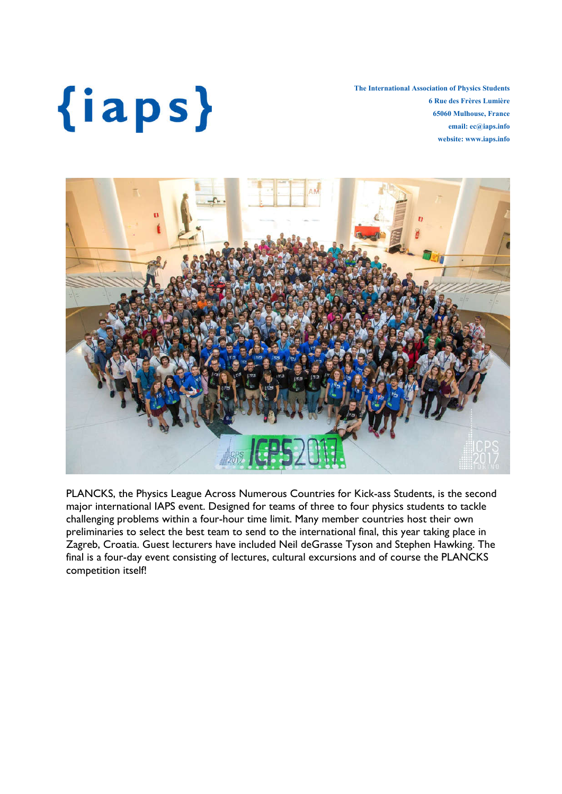The International Association of Physics Students 6 Rue des Frères Lumière 65060 Mulhouse, France email: ec@iaps.info website: www.iaps.info



PLANCKS, the Physics League Across Numerous Countries for Kick-ass Students, is the second major international IAPS event. Designed for teams of three to four physics students to tackle challenging problems within a four-hour time limit. Many member countries host their own preliminaries to select the best team to send to the international final, this year taking place in Zagreb, Croatia. Guest lecturers have included Neil deGrasse Tyson and Stephen Hawking. The final is a four-day event consisting of lectures, cultural excursions and of course the PLANCKS competition itself!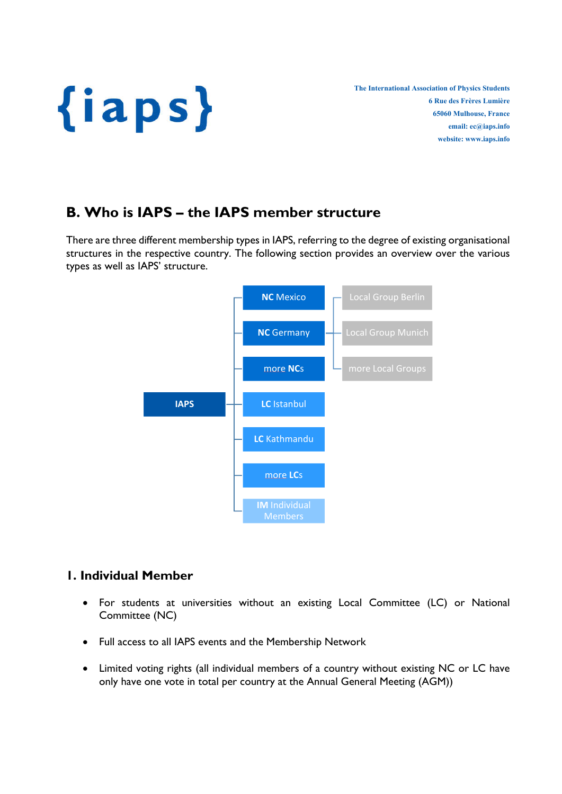

## B. Who is IAPS – the IAPS member structure

There are three different membership types in IAPS, referring to the degree of existing organisational structures in the respective country. The following section provides an overview over the various types as well as IAPS' structure.



## 1. Individual Member

- For students at universities without an existing Local Committee (LC) or National Committee (NC)
- Full access to all IAPS events and the Membership Network
- Limited voting rights (all individual members of a country without existing NC or LC have only have one vote in total per country at the Annual General Meeting (AGM))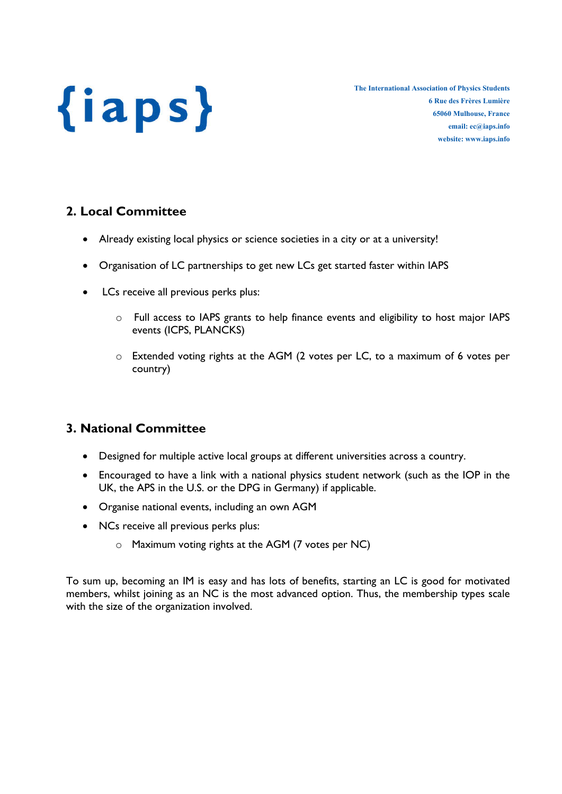The International Association of Physics Students 6 Rue des Frères Lumière 65060 Mulhouse, France email: ec@iaps.info website: www.iaps.info

## 2. Local Committee

- Already existing local physics or science societies in a city or at a university!
- Organisation of LC partnerships to get new LCs get started faster within IAPS
- LCs receive all previous perks plus:
	- o Full access to IAPS grants to help finance events and eligibility to host major IAPS events (ICPS, PLANCKS)
	- o Extended voting rights at the AGM (2 votes per LC, to a maximum of 6 votes per country)

## 3. National Committee

- Designed for multiple active local groups at different universities across a country.
- Encouraged to have a link with a national physics student network (such as the IOP in the UK, the APS in the U.S. or the DPG in Germany) if applicable.
- Organise national events, including an own AGM
- NCs receive all previous perks plus:
	- o Maximum voting rights at the AGM (7 votes per NC)

To sum up, becoming an IM is easy and has lots of benefits, starting an LC is good for motivated members, whilst joining as an NC is the most advanced option. Thus, the membership types scale with the size of the organization involved.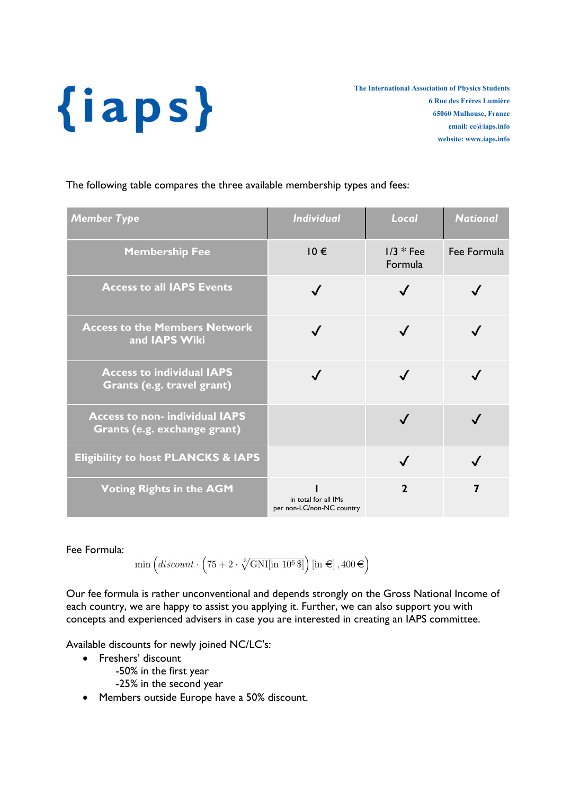The International Association of Physics Students 6 Rue des Frères Lumière 65060 Mulhouse, France email: ec@iaps.info website: www.iaps.info

The following table compares the three available membership types and fees:

| <b>Member Type</b>                                                   | <b>Individual</b>                                 | Local                  | <b>National</b> |
|----------------------------------------------------------------------|---------------------------------------------------|------------------------|-----------------|
| <b>Membership Fee</b>                                                | $10 \in$                                          | $1/3 * Fee$<br>Formula | Fee Formula     |
| <b>Access to all IAPS Events</b>                                     | $\checkmark$                                      |                        |                 |
| <b>Access to the Members Network</b><br>and IAPS Wiki                |                                                   |                        |                 |
| <b>Access to individual IAPS</b><br>Grants (e.g. travel grant)       |                                                   |                        |                 |
| <b>Access to non-individual IAPS</b><br>Grants (e.g. exchange grant) |                                                   |                        |                 |
| <b>Eligibility to host PLANCKS &amp; IAPS</b>                        |                                                   | $\checkmark$           |                 |
| <b>Voting Rights in the AGM</b>                                      | in total for all IMs<br>per non-LC/non-NC country | $\mathbf{2}$           | 7               |

Fee Formula:

 $\min\left(discount\cdot\left(75+2\cdot\sqrt[3]{\text{GNI}[\text{in }10^6\,\$]}\right)[\text{in }\infty],400\!\in\right)$ 

Our fee formula is rather unconventional and depends strongly on the Gross National Income of each country, we are happy to assist you applying it. Further, we can also support you with concepts and experienced advisers in case you are interested in creating an IAPS committee.

Available discounts for newly joined NC/LC's:

- Freshers' discount
	- -50% in the first year
	- -25% in the second year
- Members outside Europe have a 50% discount.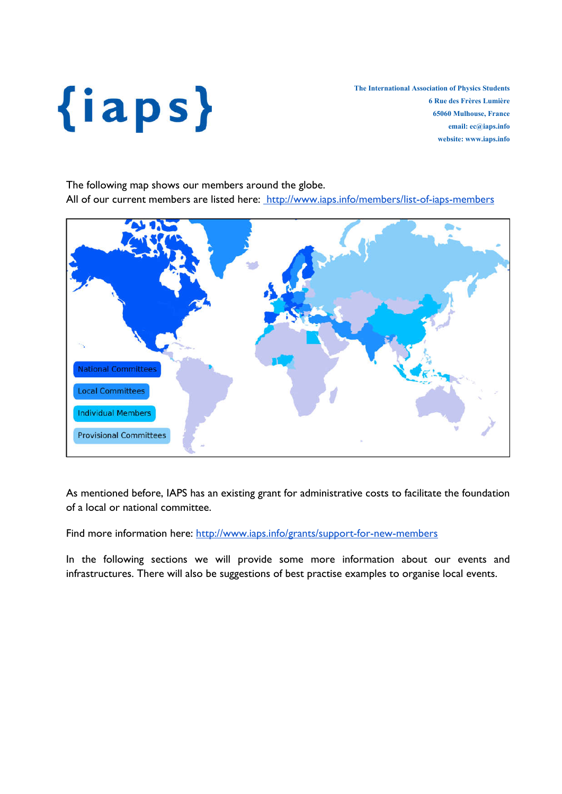The International Association of Physics Students 6 Rue des Frères Lumière 65060 Mulhouse, France email: ec@iaps.info website: www.iaps.info

The following map shows our members around the globe. All of our current members are listed here: http://www.iaps.info/members/list-of-iaps-members



As mentioned before, IAPS has an existing grant for administrative costs to facilitate the foundation of a local or national committee.

Find more information here: http://www.iaps.info/grants/support-for-new-members

In the following sections we will provide some more information about our events and infrastructures. There will also be suggestions of best practise examples to organise local events.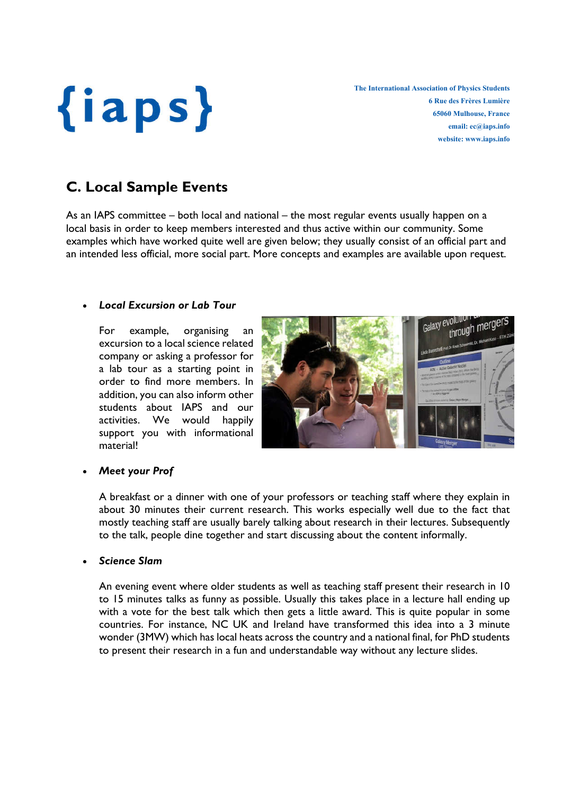The International Association of Physics Students 6 Rue des Frères Lumière 65060 Mulhouse, France email: ec@iaps.info website: www.iaps.info

## C. Local Sample Events

As an IAPS committee – both local and national – the most regular events usually happen on a local basis in order to keep members interested and thus active within our community. Some examples which have worked quite well are given below; they usually consist of an official part and an intended less official, more social part. More concepts and examples are available upon request.

### *Local Excursion or Lab Tour*

For example, organising an excursion to a local science related company or asking a professor for a lab tour as a starting point in order to find more members. In addition, you can also inform other students about IAPS and our activities. We would happily support you with informational material!



### *Meet your Prof*

A breakfast or a dinner with one of your professors or teaching staff where they explain in about 30 minutes their current research. This works especially well due to the fact that mostly teaching staff are usually barely talking about research in their lectures. Subsequently to the talk, people dine together and start discussing about the content informally.

### *Science Slam*

An evening event where older students as well as teaching staff present their research in 10 to 15 minutes talks as funny as possible. Usually this takes place in a lecture hall ending up with a vote for the best talk which then gets a little award. This is quite popular in some countries. For instance, NC UK and Ireland have transformed this idea into a 3 minute wonder (3MW) which has local heats across the country and a national final, for PhD students to present their research in a fun and understandable way without any lecture slides.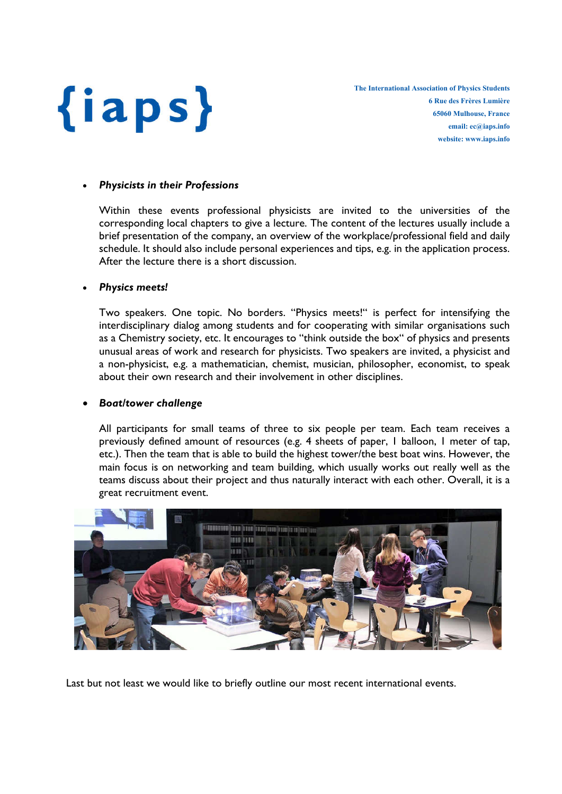

#### *Physicists in their Professions*

Within these events professional physicists are invited to the universities of the corresponding local chapters to give a lecture. The content of the lectures usually include a brief presentation of the company, an overview of the workplace/professional field and daily schedule. It should also include personal experiences and tips, e.g. in the application process. After the lecture there is a short discussion.

#### *Physics meets!*

Two speakers. One topic. No borders. "Physics meets!" is perfect for intensifying the interdisciplinary dialog among students and for cooperating with similar organisations such as a Chemistry society, etc. It encourages to "think outside the box" of physics and presents unusual areas of work and research for physicists. Two speakers are invited, a physicist and a non-physicist, e.g. a mathematician, chemist, musician, philosopher, economist, to speak about their own research and their involvement in other disciplines.

#### *Boat/tower challenge*

All participants for small teams of three to six people per team. Each team receives a previously defined amount of resources (e.g. 4 sheets of paper, 1 balloon, 1 meter of tap, etc.). Then the team that is able to build the highest tower/the best boat wins. However, the main focus is on networking and team building, which usually works out really well as the teams discuss about their project and thus naturally interact with each other. Overall, it is a great recruitment event.



Last but not least we would like to briefly outline our most recent international events.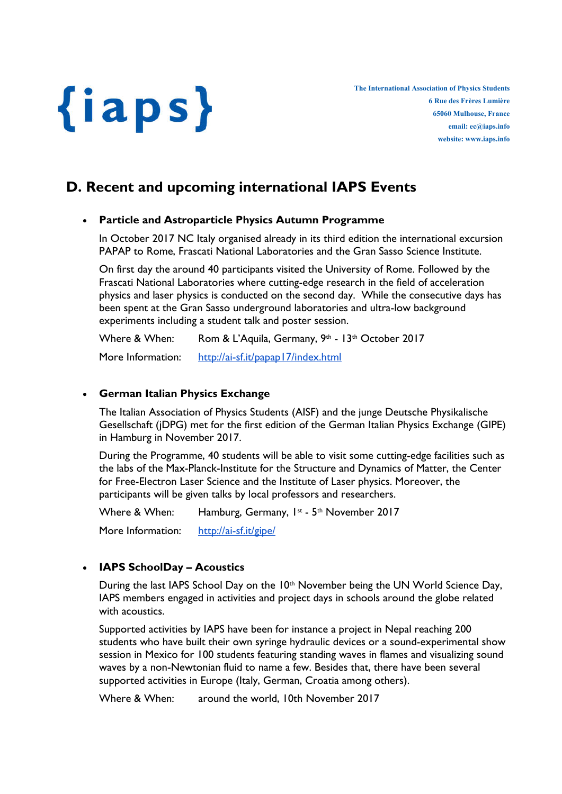The International Association of Physics Students 6 Rue des Frères Lumière 65060 Mulhouse, France email: ec@iaps.info website: www.iaps.info

## D. Recent and upcoming international IAPS Events

## Particle and Astroparticle Physics Autumn Programme

In October 2017 NC Italy organised already in its third edition the international excursion PAPAP to Rome, Frascati National Laboratories and the Gran Sasso Science Institute.

On first day the around 40 participants visited the University of Rome. Followed by the Frascati National Laboratories where cutting-edge research in the field of acceleration physics and laser physics is conducted on the second day. While the consecutive days has been spent at the Gran Sasso underground laboratories and ultra-low background experiments including a student talk and poster session.

Where & When: Rom & L'Aquila, Germany, 9th - 13th October 2017 More Information: http://ai-sf.it/papap17/index.html

## German Italian Physics Exchange

The Italian Association of Physics Students (AISF) and the junge Deutsche Physikalische Gesellschaft (jDPG) met for the first edition of the German Italian Physics Exchange (GIPE) in Hamburg in November 2017.

During the Programme, 40 students will be able to visit some cutting-edge facilities such as the labs of the Max-Planck-Institute for the Structure and Dynamics of Matter, the Center for Free-Electron Laser Science and the Institute of Laser physics. Moreover, the participants will be given talks by local professors and researchers.

Where & When: Hamburg, Germany,  $1^{st}$  -  $5^{th}$  November 2017 More Information: http://ai-sf.it/gipe/

## • IAPS SchoolDay - Acoustics

During the last IAPS School Day on the 10<sup>th</sup> November being the UN World Science Day, IAPS members engaged in activities and project days in schools around the globe related with acoustics.

Supported activities by IAPS have been for instance a project in Nepal reaching 200 students who have built their own syringe hydraulic devices or a sound-experimental show session in Mexico for 100 students featuring standing waves in flames and visualizing sound waves by a non-Newtonian fluid to name a few. Besides that, there have been several supported activities in Europe (Italy, German, Croatia among others).

Where & When: around the world, 10th November 2017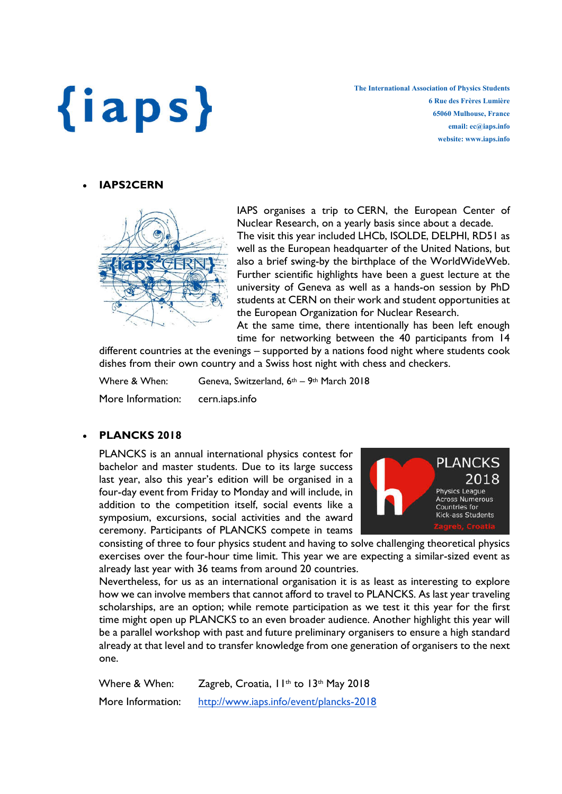The International Association of Physics Students 6 Rue des Frères Lumière 65060 Mulhouse, France email: ec@iaps.info website: www.iaps.info

## IAPS2CERN



IAPS organises a trip to CERN, the European Center of Nuclear Research, on a yearly basis since about a decade. The visit this year included LHCb, ISOLDE, DELPHI, RD51 as well as the European headquarter of the United Nations, but also a brief swing-by the birthplace of the WorldWideWeb. Further scientific highlights have been a guest lecture at the university of Geneva as well as a hands-on session by PhD students at CERN on their work and student opportunities at the European Organization for Nuclear Research.

At the same time, there intentionally has been left enough time for networking between the 40 participants from 14

different countries at the evenings – supported by a nations food night where students cook dishes from their own country and a Swiss host night with chess and checkers.

Where & When: Geneva, Switzerland, 6<sup>th</sup> – 9<sup>th</sup> March 2018 More Information: cern.iaps.info

## PLANCKS 2018

PLANCKS is an annual international physics contest for bachelor and master students. Due to its large success last year, also this year's edition will be organised in a four-day event from Friday to Monday and will include, in addition to the competition itself, social events like a symposium, excursions, social activities and the award ceremony. Participants of PLANCKS compete in teams



consisting of three to four physics student and having to solve challenging theoretical physics exercises over the four-hour time limit. This year we are expecting a similar-sized event as already last year with 36 teams from around 20 countries.

Nevertheless, for us as an international organisation it is as least as interesting to explore how we can involve members that cannot afford to travel to PLANCKS. As last year traveling scholarships, are an option; while remote participation as we test it this year for the first time might open up PLANCKS to an even broader audience. Another highlight this year will be a parallel workshop with past and future preliminary organisers to ensure a high standard already at that level and to transfer knowledge from one generation of organisers to the next one.

Where & When: Zagreb, Croatia, II<sup>th</sup> to 13<sup>th</sup> May 2018 More Information: http://www.iaps.info/event/plancks-2018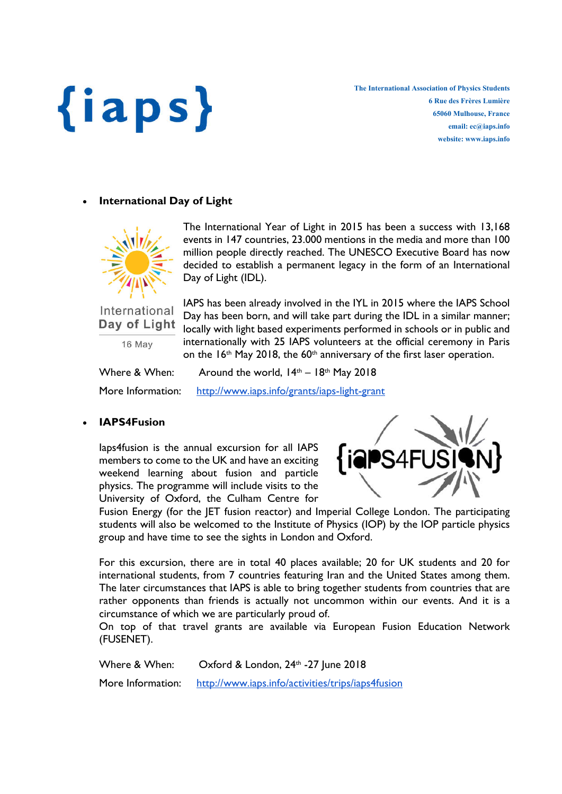The International Association of Physics Students 6 Rue des Frères Lumière 65060 Mulhouse, France email: ec@iaps.info website: www.iaps.info

## International Day of Light



The International Year of Light in 2015 has been a success with 13,168 events in 147 countries, 23.000 mentions in the media and more than 100 million people directly reached. The UNESCO Executive Board has now decided to establish a permanent legacy in the form of an International Day of Light (IDL).

International Day of Light

16 May

IAPS has been already involved in the IYL in 2015 where the IAPS School Day has been born, and will take part during the IDL in a similar manner; locally with light based experiments performed in schools or in public and internationally with 25 IAPS volunteers at the official ceremony in Paris on the  $16<sup>th</sup>$  May 2018, the  $60<sup>th</sup>$  anniversary of the first laser operation.

| Where & When:     | Around the world, $14th - 18th$ May 2018     |
|-------------------|----------------------------------------------|
| More Information: | http://www.iaps.info/grants/iaps-light-grant |

## IAPS4Fusion

Iaps4fusion is the annual excursion for all IAPS members to come to the UK and have an exciting weekend learning about fusion and particle physics. The programme will include visits to the University of Oxford, the Culham Centre for



Fusion Energy (for the JET fusion reactor) and Imperial College London. The participating students will also be welcomed to the Institute of Physics (IOP) by the IOP particle physics group and have time to see the sights in London and Oxford.

For this excursion, there are in total 40 places available; 20 for UK students and 20 for international students, from 7 countries featuring Iran and the United States among them. The later circumstances that IAPS is able to bring together students from countries that are rather opponents than friends is actually not uncommon within our events. And it is a circumstance of which we are particularly proud of.

On top of that travel grants are available via European Fusion Education Network (FUSENET).

Where & When: Oxford & London, 24<sup>th</sup> -27 June 2018 More Information: http://www.iaps.info/activities/trips/iaps4fusion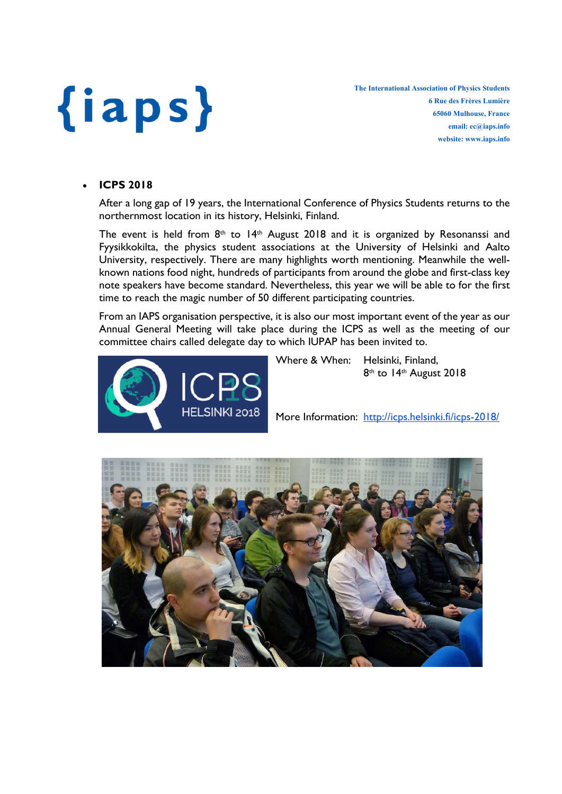The International Association of Physics Students 6 Rue des Frères Lumière 65060 Mulhouse, France email: ec@iaps.info website: www.iaps.info

### ICPS 2018

After a long gap of 19 years, the International Conference of Physics Students returns to the northernmost location in its history, Helsinki, Finland.

The event is held from  $8<sup>th</sup>$  to 14<sup>th</sup> August 2018 and it is organized by Resonanssi and Fyysikkokilta, the physics student associations at the University of Helsinki and Aalto University, respectively. There are many highlights worth mentioning. Meanwhile the wellknown nations food night, hundreds of participants from around the globe and first-class key note speakers have become standard. Nevertheless, this year we will be able to for the first time to reach the magic number of 50 different participating countries.

From an IAPS organisation perspective, it is also our most important event of the year as our Annual General Meeting will take place during the ICPS as well as the meeting of our committee chairs called delegate day to which IUPAP has been invited to.





More Information: http://icps.helsinki.fi/icps-2018/